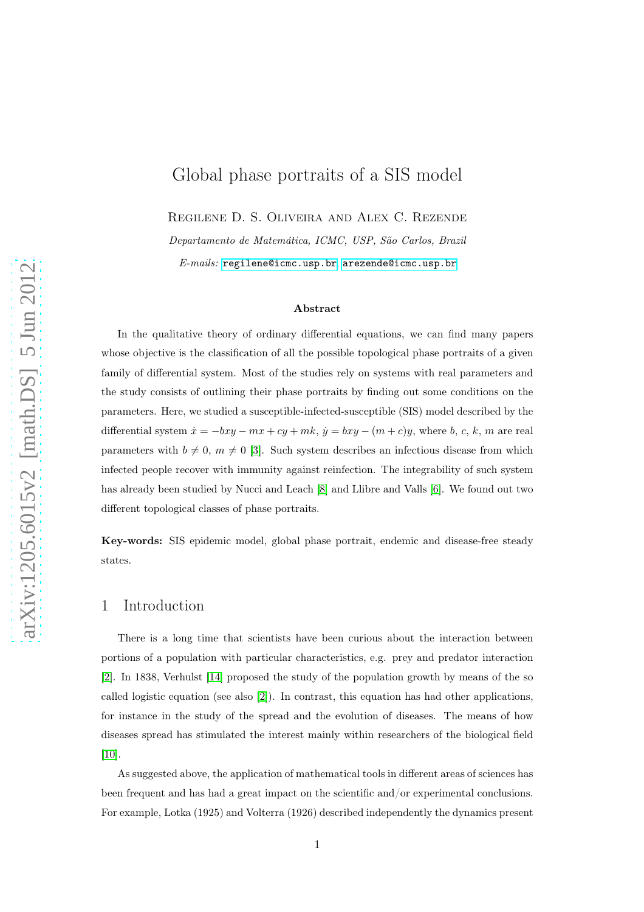# Global phase portraits of a SIS model

Regilene D. S. Oliveira and Alex C. Rezende

Departamento de Matemática, ICMC, USP, São Carlos, Brazil

E-mails: <regilene@icmc.usp.br>, <arezende@icmc.usp.br>

#### Abstract

In the qualitative theory of ordinary differential equations, we can find many papers whose objective is the classification of all the possible topological phase portraits of a given family of differential system. Most of the studies rely on systems with real parameters and the study consists of outlining their phase portraits by finding out some conditions on the parameters. Here, we studied a susceptible-infected-susceptible (SIS) model described by the differential system  $\dot{x} = -bxy - mx + cy + mk$ ,  $\dot{y} = bxy - (m + c)y$ , where b, c, k, m are real parameters with  $b \neq 0$ ,  $m \neq 0$  [\[3\]](#page-10-0). Such system describes an infectious disease from which infected people recover with immunity against reinfection. The integrability of such system has already been studied by Nucci and Leach [\[8\]](#page-11-0) and Llibre and Valls [\[6\]](#page-11-1). We found out two different topological classes of phase portraits.

Key-words: SIS epidemic model, global phase portrait, endemic and disease-free steady states.

## 1 Introduction

There is a long time that scientists have been curious about the interaction between portions of a population with particular characteristics, e.g. prey and predator interaction [\[2\]](#page-10-1). In 1838, Verhulst [\[14\]](#page-11-2) proposed the study of the population growth by means of the so called logistic equation (see also [\[2\]](#page-10-1)). In contrast, this equation has had other applications, for instance in the study of the spread and the evolution of diseases. The means of how diseases spread has stimulated the interest mainly within researchers of the biological field [\[10\]](#page-11-3).

As suggested above, the application of mathematical tools in different areas of sciences has been frequent and has had a great impact on the scientific and/or experimental conclusions. For example, Lotka (1925) and Volterra (1926) described independently the dynamics present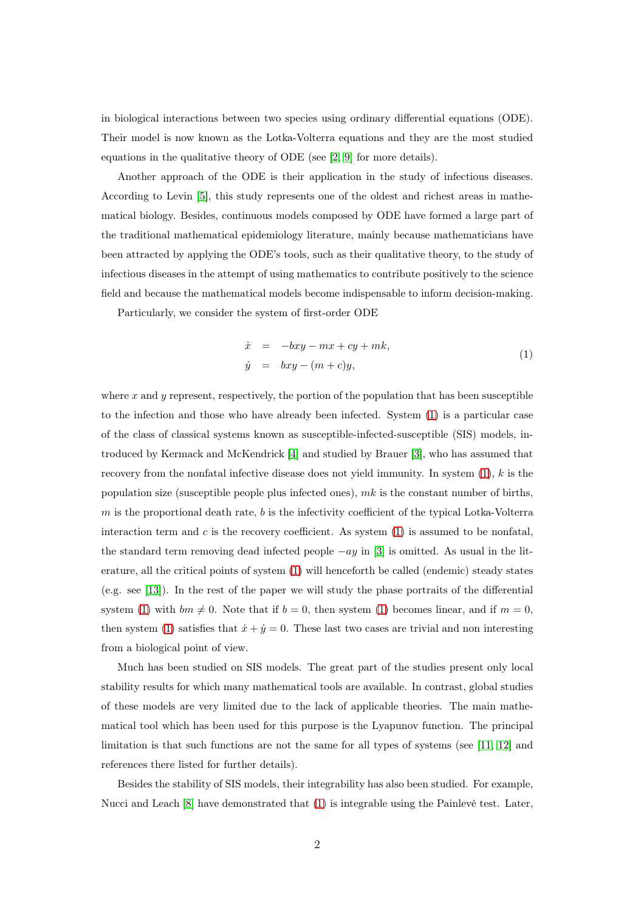in biological interactions between two species using ordinary differential equations (ODE). Their model is now known as the Lotka-Volterra equations and they are the most studied equations in the qualitative theory of ODE (see [\[2,](#page-10-1) [9\]](#page-11-4) for more details).

Another approach of the ODE is their application in the study of infectious diseases. According to Levin [\[5\]](#page-10-2), this study represents one of the oldest and richest areas in mathematical biology. Besides, continuous models composed by ODE have formed a large part of the traditional mathematical epidemiology literature, mainly because mathematicians have been attracted by applying the ODE's tools, such as their qualitative theory, to the study of infectious diseases in the attempt of using mathematics to contribute positively to the science field and because the mathematical models become indispensable to inform decision-making.

Particularly, we consider the system of first-order ODE

<span id="page-1-0"></span>
$$
\begin{array}{rcl}\n\dot{x} & = & -bxy - mx + cy + mk, \\
\dot{y} & = & bxy - (m + c)y,\n\end{array} \tag{1}
$$

where  $x$  and  $y$  represent, respectively, the portion of the population that has been susceptible to the infection and those who have already been infected. System [\(1\)](#page-1-0) is a particular case of the class of classical systems known as susceptible-infected-susceptible (SIS) models, introduced by Kermack and McKendrick [\[4\]](#page-10-3) and studied by Brauer [\[3\]](#page-10-0), who has assumed that recovery from the nonfatal infective disease does not yield immunity. In system  $(1)$ , k is the population size (susceptible people plus infected ones),  $mk$  is the constant number of births,  $m$  is the proportional death rate,  $b$  is the infectivity coefficient of the typical Lotka-Volterra interaction term and  $c$  is the recovery coefficient. As system  $(1)$  is assumed to be nonfatal, the standard term removing dead infected people  $-ay$  in [\[3\]](#page-10-0) is omitted. As usual in the literature, all the critical points of system [\(1\)](#page-1-0) will henceforth be called (endemic) steady states (e.g. see [\[13\]](#page-11-5)). In the rest of the paper we will study the phase portraits of the differential system [\(1\)](#page-1-0) with  $bm \neq 0$ . Note that if  $b = 0$ , then system (1) becomes linear, and if  $m = 0$ , then system [\(1\)](#page-1-0) satisfies that  $\dot{x} + \dot{y} = 0$ . These last two cases are trivial and non interesting from a biological point of view.

Much has been studied on SIS models. The great part of the studies present only local stability results for which many mathematical tools are available. In contrast, global studies of these models are very limited due to the lack of applicable theories. The main mathematical tool which has been used for this purpose is the Lyapunov function. The principal limitation is that such functions are not the same for all types of systems (see [\[11,](#page-11-6) [12\]](#page-11-7) and references there listed for further details).

Besides the stability of SIS models, their integrability has also been studied. For example, Nucci and Leach [\[8\]](#page-11-0) have demonstrated that [\(1\)](#page-1-0) is integrable using the Painlevé test. Later,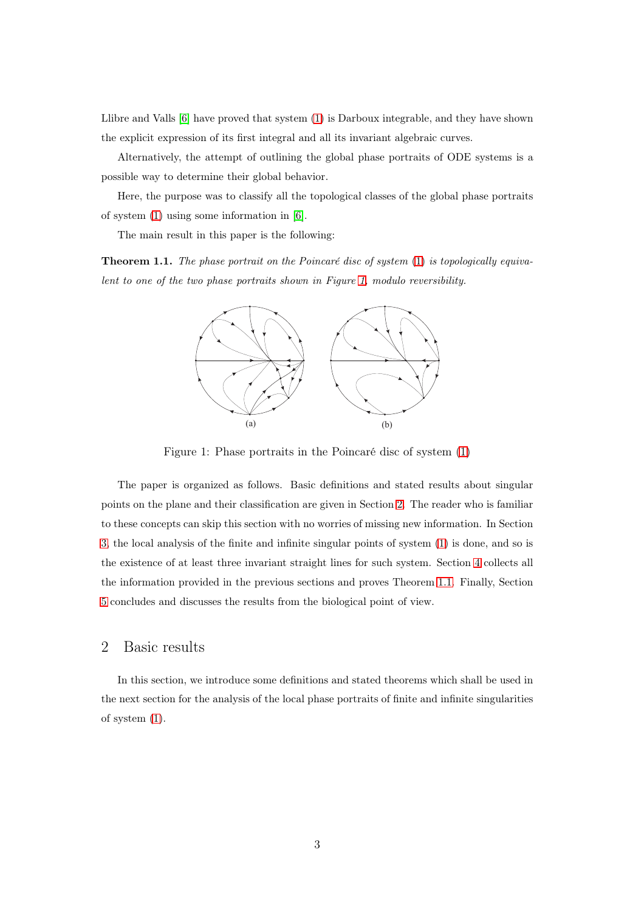Llibre and Valls [\[6\]](#page-11-1) have proved that system [\(1\)](#page-1-0) is Darboux integrable, and they have shown the explicit expression of its first integral and all its invariant algebraic curves.

Alternatively, the attempt of outlining the global phase portraits of ODE systems is a possible way to determine their global behavior.

<span id="page-2-2"></span>Here, the purpose was to classify all the topological classes of the global phase portraits of system [\(1\)](#page-1-0) using some information in [\[6\]](#page-11-1).

The main result in this paper is the following:

Theorem 1.1. The phase portrait on the Poincaré disc of system [\(1\)](#page-1-0) is topologically equivalent to one of the two phase portraits shown in Figure [1,](#page-2-0) modulo reversibility.



<span id="page-2-0"></span>Figure 1: Phase portraits in the Poincaré disc of system [\(1\)](#page-1-0)

The paper is organized as follows. Basic definitions and stated results about singular points on the plane and their classification are given in Section [2.](#page-2-1) The reader who is familiar to these concepts can skip this section with no worries of missing new information. In Section [3,](#page-6-0) the local analysis of the finite and infinite singular points of system [\(1\)](#page-1-0) is done, and so is the existence of at least three invariant straight lines for such system. Section [4](#page-9-0) collects all the information provided in the previous sections and proves Theorem [1.1.](#page-2-2) Finally, Section [5](#page-9-1) concludes and discusses the results from the biological point of view.

# <span id="page-2-1"></span>2 Basic results

In this section, we introduce some definitions and stated theorems which shall be used in the next section for the analysis of the local phase portraits of finite and infinite singularities of system [\(1\)](#page-1-0).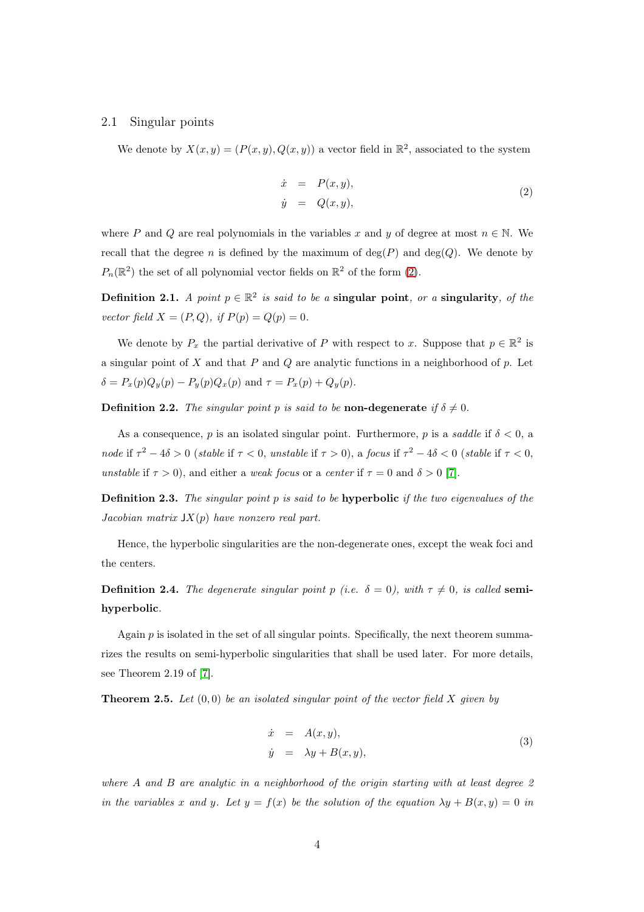#### 2.1 Singular points

We denote by  $X(x, y) = (P(x, y), Q(x, y))$  a vector field in  $\mathbb{R}^2$ , associated to the system

<span id="page-3-0"></span>
$$
\begin{array}{rcl}\n\dot{x} & = & P(x, y), \\
\dot{y} & = & Q(x, y),\n\end{array} \tag{2}
$$

where P and Q are real polynomials in the variables x and y of degree at most  $n \in \mathbb{N}$ . We recall that the degree n is defined by the maximum of  $deg(P)$  and  $deg(Q)$ . We denote by  $P_n(\mathbb{R}^2)$  the set of all polynomial vector fields on  $\mathbb{R}^2$  of the form [\(2\)](#page-3-0).

Definition 2.1. A point  $p \in \mathbb{R}^2$  is said to be a singular point, or a singularity, of the vector field  $X = (P, Q)$ , if  $P(p) = Q(p) = 0$ .

We denote by  $P_x$  the partial derivative of P with respect to x. Suppose that  $p \in \mathbb{R}^2$  is a singular point of X and that  $P$  and  $Q$  are analytic functions in a neighborhood of  $p$ . Let  $\delta = P_x(p)Q_y(p) - P_y(p)Q_x(p)$  and  $\tau = P_x(p) + Q_y(p)$ .

**Definition 2.2.** The singular point p is said to be **non-degenerate** if  $\delta \neq 0$ .

As a consequence, p is an isolated singular point. Furthermore, p is a saddle if  $\delta < 0$ , a node if  $\tau^2 - 4\delta > 0$  (stable if  $\tau < 0$ , unstable if  $\tau > 0$ ), a focus if  $\tau^2 - 4\delta < 0$  (stable if  $\tau < 0$ , unstable if  $\tau > 0$ , and either a weak focus or a center if  $\tau = 0$  and  $\delta > 0$  [\[7\]](#page-11-8).

Definition 2.3. The singular point p is said to be hyperbolic if the two eigenvalues of the Jacobian matrix  $JX(p)$  have nonzero real part.

Hence, the hyperbolic singularities are the non-degenerate ones, except the weak foci and the centers.

**Definition 2.4.** The degenerate singular point p (i.e.  $\delta = 0$ ), with  $\tau \neq 0$ , is called semihyperbolic.

Again  $p$  is isolated in the set of all singular points. Specifically, the next theorem summarizes the results on semi-hyperbolic singularities that shall be used later. For more details, see Theorem 2.19 of [\[7\]](#page-11-8).

<span id="page-3-2"></span>**Theorem 2.5.** Let  $(0, 0)$  be an isolated singular point of the vector field X given by

<span id="page-3-1"></span>
$$
\dot{x} = A(x, y), \n\dot{y} = \lambda y + B(x, y),
$$
\n(3)

where A and B are analytic in a neighborhood of the origin starting with at least degree 2 in the variables x and y. Let  $y = f(x)$  be the solution of the equation  $\lambda y + B(x, y) = 0$  in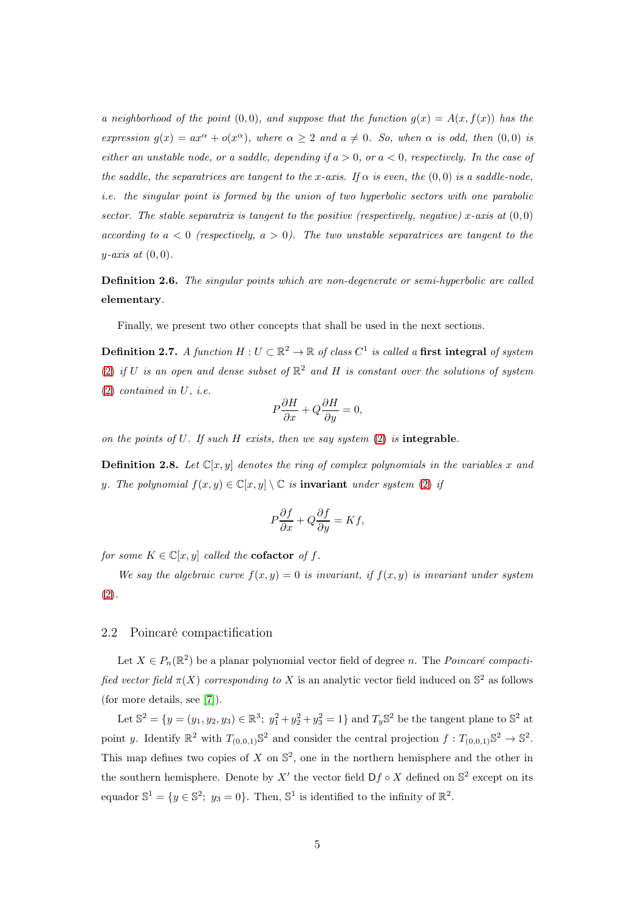a neighborhood of the point  $(0, 0)$ , and suppose that the function  $q(x) = A(x, f(x))$  has the expression  $g(x) = ax^{\alpha} + o(x^{\alpha})$ , where  $\alpha \geq 2$  and  $a \neq 0$ . So, when  $\alpha$  is odd, then  $(0,0)$  is either an unstable node, or a saddle, depending if  $a > 0$ , or  $a < 0$ , respectively. In the case of the saddle, the separatrices are tangent to the x-axis. If  $\alpha$  is even, the  $(0,0)$  is a saddle-node, i.e. the singular point is formed by the union of two hyperbolic sectors with one parabolic sector. The stable separatrix is tangent to the positive (respectively, negative) x-axis at  $(0,0)$ according to  $a < 0$  (respectively,  $a > 0$ ). The two unstable separatrices are tangent to the  $y$ -axis at  $(0, 0)$ .

Definition 2.6. The singular points which are non-degenerate or semi-hyperbolic are called elementary.

Finally, we present two other concepts that shall be used in the next sections.

**Definition 2.7.** A function  $H: U \subset \mathbb{R}^2 \to \mathbb{R}$  of class  $C^1$  is called a first integral of system [\(2\)](#page-3-0) if U is an open and dense subset of  $\mathbb{R}^2$  and H is constant over the solutions of system  $(2)$  contained in U, i.e.

$$
P\frac{\partial H}{\partial x} + Q\frac{\partial H}{\partial y} = 0,
$$

<span id="page-4-0"></span>on the points of  $U$ . If such  $H$  exists, then we say system  $(2)$  is integrable.

**Definition 2.8.** Let  $\mathbb{C}[x, y]$  denotes the ring of complex polynomials in the variables x and y. The polynomial  $f(x, y) \in \mathbb{C}[x, y] \setminus \mathbb{C}$  is **invariant** under system [\(2\)](#page-3-0) if

$$
P\frac{\partial f}{\partial x} + Q\frac{\partial f}{\partial y} = Kf,
$$

for some  $K \in \mathbb{C}[x, y]$  called the **cofactor** of f.

We say the algebraic curve  $f(x, y) = 0$  is invariant, if  $f(x, y)$  is invariant under system [\(2\)](#page-3-0).

#### 2.2 Poincaré compactification

Let  $X \in P_n(\mathbb{R}^2)$  be a planar polynomial vector field of degree n. The *Poincaré compacti*fied vector field  $\pi(X)$  corresponding to X is an analytic vector field induced on  $\mathbb{S}^2$  as follows (for more details, see [\[7\]](#page-11-8)).

Let  $\mathbb{S}^2 = \{y = (y_1, y_2, y_3) \in \mathbb{R}^3$ ;  $y_1^2 + y_2^2 + y_3^2 = 1\}$  and  $T_y \mathbb{S}^2$  be the tangent plane to  $\mathbb{S}^2$  at point y. Identify  $\mathbb{R}^2$  with  $T_{(0,0,1)}\mathbb{S}^2$  and consider the central projection  $f: T_{(0,0,1)}\mathbb{S}^2 \to \mathbb{S}^2$ . This map defines two copies of X on  $\mathbb{S}^2$ , one in the northern hemisphere and the other in the southern hemisphere. Denote by X' the vector field  $Df \circ X$  defined on  $\mathbb{S}^2$  except on its equador  $\mathbb{S}^1 = \{y \in \mathbb{S}^2; y_3 = 0\}$ . Then,  $\mathbb{S}^1$  is identified to the infinity of  $\mathbb{R}^2$ .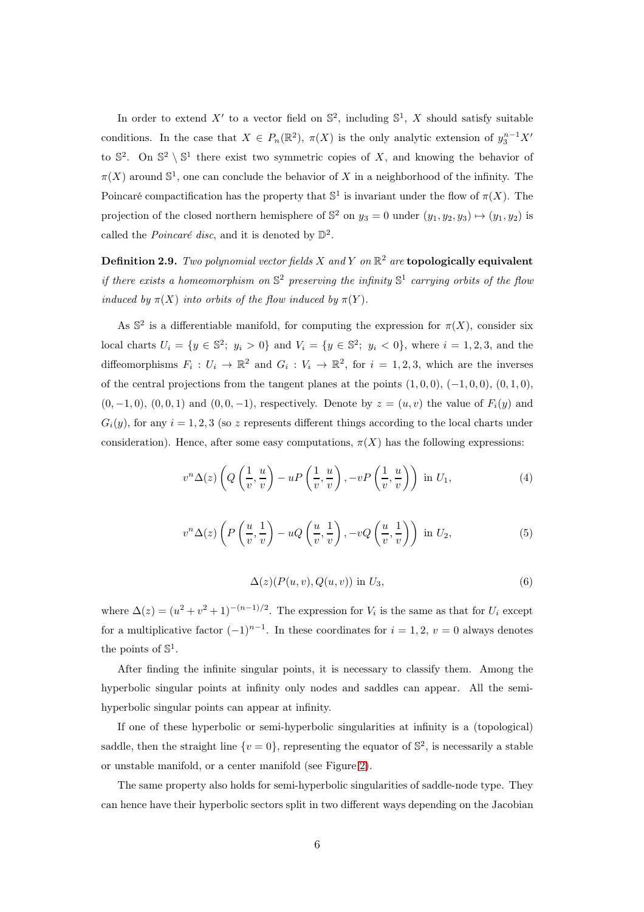In order to extend X' to a vector field on  $\mathbb{S}^2$ , including  $\mathbb{S}^1$ , X should satisfy suitable conditions. In the case that  $X \in P_n(\mathbb{R}^2)$ ,  $\pi(X)$  is the only analytic extension of  $y_3^{n-1}X'$ to  $\mathbb{S}^2$ . On  $\mathbb{S}^2 \setminus \mathbb{S}^1$  there exist two symmetric copies of X, and knowing the behavior of  $\pi(X)$  around  $\mathbb{S}^1$ , one can conclude the behavior of X in a neighborhood of the infinity. The Poincaré compactification has the property that  $\mathbb{S}^1$  is invariant under the flow of  $\pi(X)$ . The projection of the closed northern hemisphere of  $\mathbb{S}^2$  on  $y_3 = 0$  under  $(y_1, y_2, y_3) \mapsto (y_1, y_2)$  is called the *Poincaré disc*, and it is denoted by  $\mathbb{D}^2$ .

Definition 2.9. Two polynomial vector fields X and Y on  $\mathbb{R}^2$  are topologically equivalent if there exists a homeomorphism on  $\mathbb{S}^2$  preserving the infinity  $\mathbb{S}^1$  carrying orbits of the flow induced by  $\pi(X)$  into orbits of the flow induced by  $\pi(Y)$ .

As  $\mathbb{S}^2$  is a differentiable manifold, for computing the expression for  $\pi(X)$ , consider six local charts  $U_i = \{y \in \mathbb{S}^2; y_i > 0\}$  and  $V_i = \{y \in \mathbb{S}^2; y_i < 0\}$ , where  $i = 1, 2, 3$ , and the diffeomorphisms  $F_i: U_i \to \mathbb{R}^2$  and  $G_i: V_i \to \mathbb{R}^2$ , for  $i = 1, 2, 3$ , which are the inverses of the central projections from the tangent planes at the points  $(1, 0, 0)$ ,  $(-1, 0, 0)$ ,  $(0, 1, 0)$ ,  $(0, -1, 0)$ ,  $(0, 0, 1)$  and  $(0, 0, -1)$ , respectively. Denote by  $z = (u, v)$  the value of  $F_i(y)$  and  $G_i(y)$ , for any  $i = 1, 2, 3$  (so z represents different things according to the local charts under consideration). Hence, after some easy computations,  $\pi(X)$  has the following expressions:

$$
v^{n}\Delta(z)\left(Q\left(\frac{1}{v},\frac{u}{v}\right)-uP\left(\frac{1}{v},\frac{u}{v}\right),-vP\left(\frac{1}{v},\frac{u}{v}\right)\right) \text{ in } U_{1},\tag{4}
$$

$$
v^{n} \Delta(z) \left( P\left(\frac{u}{v}, \frac{1}{v}\right) - uQ\left(\frac{u}{v}, \frac{1}{v}\right), -vQ\left(\frac{u}{v}, \frac{1}{v}\right) \right) \text{ in } U_2,
$$
\n
$$
(5)
$$

$$
\Delta(z)(P(u,v),Q(u,v))\text{ in }U_3,\tag{6}
$$

where  $\Delta(z) = (u^2 + v^2 + 1)^{-(n-1)/2}$ . The expression for  $V_i$  is the same as that for  $U_i$  except for a multiplicative factor  $(-1)^{n-1}$ . In these coordinates for  $i = 1, 2, v = 0$  always denotes the points of  $\mathbb{S}^1$ .

After finding the infinite singular points, it is necessary to classify them. Among the hyperbolic singular points at infinity only nodes and saddles can appear. All the semihyperbolic singular points can appear at infinity.

If one of these hyperbolic or semi-hyperbolic singularities at infinity is a (topological) saddle, then the straight line  $\{v=0\}$ , representing the equator of  $\mathbb{S}^2$ , is necessarily a stable or unstable manifold, or a center manifold (see Figure [2\)](#page-6-1).

The same property also holds for semi-hyperbolic singularities of saddle-node type. They can hence have their hyperbolic sectors split in two different ways depending on the Jacobian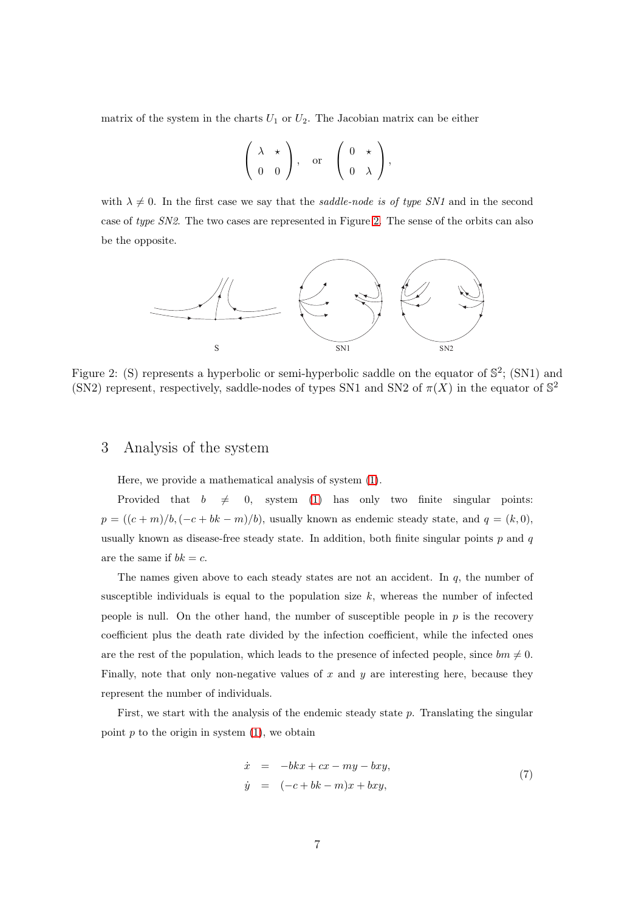matrix of the system in the charts  $U_1$  or  $U_2$ . The Jacobian matrix can be either

$$
\left(\begin{array}{cc} \lambda & \star \\ 0 & 0 \end{array}\right), \quad \text{or} \quad \left(\begin{array}{cc} 0 & \star \\ 0 & \lambda \end{array}\right),
$$

with  $\lambda \neq 0$ . In the first case we say that the saddle-node is of type SN1 and in the second case of type SN2. The two cases are represented in Figure [2.](#page-6-1) The sense of the orbits can also be the opposite.



<span id="page-6-1"></span><span id="page-6-0"></span>Figure 2: (S) represents a hyperbolic or semi-hyperbolic saddle on the equator of  $\mathbb{S}^2$ ; (SN1) and (SN2) represent, respectively, saddle-nodes of types SN1 and SN2 of  $\pi(X)$  in the equator of  $\mathbb{S}^2$ 

# 3 Analysis of the system

Here, we provide a mathematical analysis of system [\(1\)](#page-1-0).

Provided that  $b \neq 0$ , system [\(1\)](#page-1-0) has only two finite singular points:  $p = ((c + m)/b, (-c + bk - m)/b)$ , usually known as endemic steady state, and  $q = (k, 0)$ , usually known as disease-free steady state. In addition, both finite singular points  $p$  and  $q$ are the same if  $bk = c$ .

The names given above to each steady states are not an accident. In  $q$ , the number of susceptible individuals is equal to the population size  $k$ , whereas the number of infected people is null. On the other hand, the number of susceptible people in  $p$  is the recovery coefficient plus the death rate divided by the infection coefficient, while the infected ones are the rest of the population, which leads to the presence of infected people, since  $bm \neq 0$ . Finally, note that only non-negative values of  $x$  and  $y$  are interesting here, because they represent the number of individuals.

First, we start with the analysis of the endemic steady state p. Translating the singular point  $p$  to the origin in system  $(1)$ , we obtain

<span id="page-6-2"></span>
$$
\begin{array}{rcl}\n\dot{x} & = & -bkx + cx - my - bxy, \\
\dot{y} & = & (-c + bk - m)x + bxy,\n\end{array} \tag{7}
$$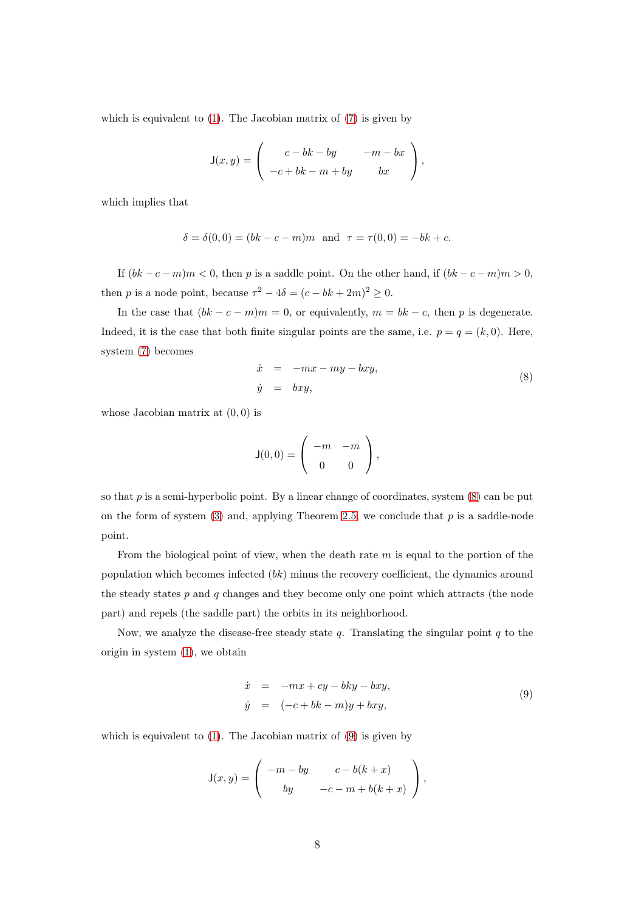which is equivalent to  $(1)$ . The Jacobian matrix of  $(7)$  is given by

$$
\mathsf{J}(x,y) = \left( \begin{array}{cc} c - bk - by & -m - bx \\ -c + bk - m + by & bx \end{array} \right),
$$

which implies that

$$
\delta = \delta(0,0) = (bk - c - m)m
$$
 and  $\tau = \tau(0,0) = -bk + c$ .

If  $(bk-c-m)m < 0$ , then p is a saddle point. On the other hand, if  $(bk-c-m)m > 0$ , then *p* is a node point, because  $\tau^2 - 4\delta = (c - bk + 2m)^2 \ge 0$ .

In the case that  $(bk - c - m)m = 0$ , or equivalently,  $m = bk - c$ , then p is degenerate. Indeed, it is the case that both finite singular points are the same, i.e.  $p = q = (k, 0)$ . Here, system [\(7\)](#page-6-2) becomes

<span id="page-7-0"></span>
$$
\dot{x} = -mx - my - bxy,
$$
  
\n
$$
\dot{y} = bxy,
$$
\n(8)

whose Jacobian matrix at  $(0, 0)$  is

$$
\mathsf{J}(0,0) = \left( \begin{array}{cc} -m & -m \\ 0 & 0 \end{array} \right),\,
$$

so that  $p$  is a semi-hyperbolic point. By a linear change of coordinates, system  $(8)$  can be put on the form of system  $(3)$  and, applying Theorem [2.5,](#page-3-2) we conclude that p is a saddle-node point.

From the biological point of view, when the death rate  $m$  is equal to the portion of the population which becomes infected  $(bk)$  minus the recovery coefficient, the dynamics around the steady states  $p$  and  $q$  changes and they become only one point which attracts (the node part) and repels (the saddle part) the orbits in its neighborhood.

Now, we analyze the disease-free steady state  $q$ . Translating the singular point  $q$  to the origin in system [\(1\)](#page-1-0), we obtain

<span id="page-7-1"></span>
$$
\begin{array}{rcl}\n\dot{x} & = & -mx + cy - bky - bxy, \\
\dot{y} & = & (-c + bk - m)y + bxy,\n\end{array} \tag{9}
$$

which is equivalent to  $(1)$ . The Jacobian matrix of  $(9)$  is given by

$$
\mathsf{J}(x,y) = \left( \begin{array}{cc} -m - by & c - b(k+x) \\ by & -c - m + b(k+x) \end{array} \right),
$$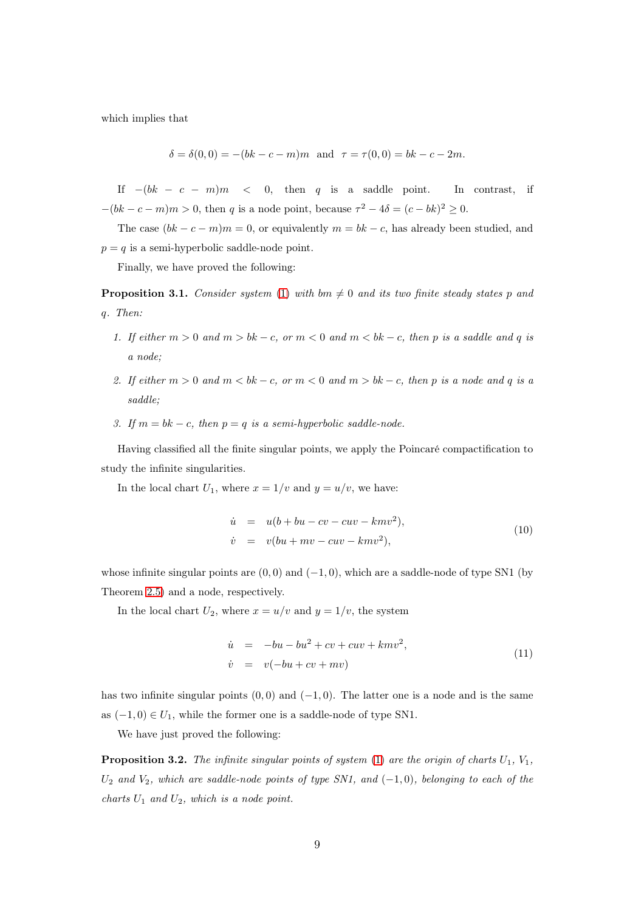which implies that

$$
\delta = \delta(0,0) = -(bk - c - m)m \text{ and } \tau = \tau(0,0) = bk - c - 2m.
$$

If  $-(bk - c - m)m < 0$ , then q is a saddle point. In contrast, if  $-(bk - c - m)m > 0$ , then q is a node point, because  $\tau^2 - 4\delta = (c - bk)^2 \ge 0$ .

The case  $(bk - c - m)m = 0$ , or equivalently  $m = bk - c$ , has already been studied, and  $p = q$  is a semi-hyperbolic saddle-node point.

Finally, we have proved the following:

<span id="page-8-0"></span>**Proposition 3.1.** Consider system [\(1\)](#page-1-0) with bm  $\neq 0$  and its two finite steady states p and q. Then:

- 1. If either  $m > 0$  and  $m > bk c$ , or  $m < 0$  and  $m < bk c$ , then p is a saddle and q is a node;
- 2. If either  $m > 0$  and  $m < bk c$ , or  $m < 0$  and  $m > bk c$ , then p is a node and q is a saddle;
- 3. If  $m = bk c$ , then  $p = q$  is a semi-hyperbolic saddle-node.

Having classified all the finite singular points, we apply the Poincaré compactification to study the infinite singularities.

In the local chart  $U_1$ , where  $x = 1/v$  and  $y = u/v$ , we have:

$$
\dot{u} = u(b + bu - cv - cuv - kmv2),
$$
  
\n
$$
\dot{v} = v(bu + mv - cuv - kmv2),
$$
\n(10)

whose infinite singular points are  $(0, 0)$  and  $(-1, 0)$ , which are a saddle-node of type SN1 (by Theorem [2.5\)](#page-3-2) and a node, respectively.

In the local chart  $U_2$ , where  $x = u/v$  and  $y = 1/v$ , the system

$$
\dot{u} = -bu - bu^2 + cv + cuv + kmv^2,
$$
  
\n
$$
\dot{v} = v(-bu + cv + mv)
$$
\n(11)

has two infinite singular points  $(0,0)$  and  $(-1,0)$ . The latter one is a node and is the same as  $(-1,0) \in U_1$ , while the former one is a saddle-node of type SN1.

We have just proved the following:

<span id="page-8-1"></span>**Proposition 3.2.** The infinite singular points of system  $(1)$  are the origin of charts  $U_1, V_1$ ,  $U_2$  and  $V_2$ , which are saddle-node points of type SN1, and  $(-1,0)$ , belonging to each of the charts  $U_1$  and  $U_2$ , which is a node point.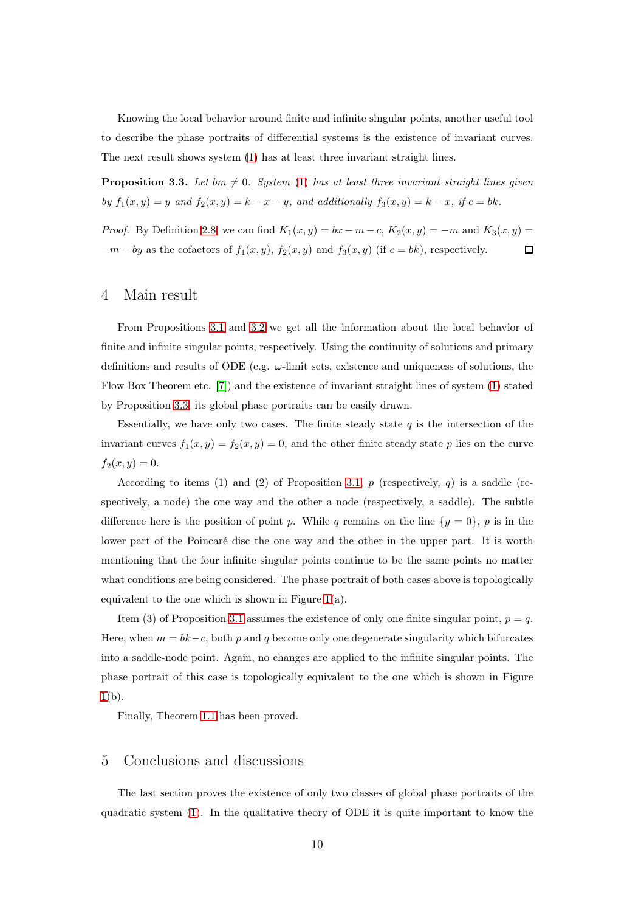Knowing the local behavior around finite and infinite singular points, another useful tool to describe the phase portraits of differential systems is the existence of invariant curves. The next result shows system [\(1\)](#page-1-0) has at least three invariant straight lines.

<span id="page-9-2"></span>**Proposition 3.3.** Let bm  $\neq$  0. System [\(1\)](#page-1-0) has at least three invariant straight lines given by  $f_1(x, y) = y$  and  $f_2(x, y) = k - x - y$ , and additionally  $f_3(x, y) = k - x$ , if  $c = bk$ .

<span id="page-9-0"></span>*Proof.* By Definition [2.8,](#page-4-0) we can find  $K_1(x, y) = bx - m - c$ ,  $K_2(x, y) = -m$  and  $K_3(x, y) =$  $-m - by$  as the cofactors of  $f_1(x, y)$ ,  $f_2(x, y)$  and  $f_3(x, y)$  (if  $c = bk$ ), respectively.  $\Box$ 

### 4 Main result

From Propositions [3.1](#page-8-0) and [3.2](#page-8-1) we get all the information about the local behavior of finite and infinite singular points, respectively. Using the continuity of solutions and primary definitions and results of ODE (e.g.  $\omega$ -limit sets, existence and uniqueness of solutions, the Flow Box Theorem etc. [\[7\]](#page-11-8)) and the existence of invariant straight lines of system [\(1\)](#page-1-0) stated by Proposition [3.3,](#page-9-2) its global phase portraits can be easily drawn.

Essentially, we have only two cases. The finite steady state  $q$  is the intersection of the invariant curves  $f_1(x, y) = f_2(x, y) = 0$ , and the other finite steady state p lies on the curve  $f_2(x, y) = 0.$ 

According to items (1) and (2) of Proposition [3.1,](#page-8-0)  $p$  (respectively,  $q$ ) is a saddle (respectively, a node) the one way and the other a node (respectively, a saddle). The subtle difference here is the position of point p. While q remains on the line  $\{y = 0\}$ , p is in the lower part of the Poincaré disc the one way and the other in the upper part. It is worth mentioning that the four infinite singular points continue to be the same points no matter what conditions are being considered. The phase portrait of both cases above is topologically equivalent to the one which is shown in Figure [1\(](#page-2-0)a).

Item (3) of Proposition [3.1](#page-8-0) assumes the existence of only one finite singular point,  $p = q$ . Here, when  $m = bk - c$ , both p and q become only one degenerate singularity which bifurcates into a saddle-node point. Again, no changes are applied to the infinite singular points. The phase portrait of this case is topologically equivalent to the one which is shown in Figure  $1(b)$  $1(b)$ .

<span id="page-9-1"></span>Finally, Theorem [1.1](#page-2-2) has been proved.

### 5 Conclusions and discussions

The last section proves the existence of only two classes of global phase portraits of the quadratic system [\(1\)](#page-1-0). In the qualitative theory of ODE it is quite important to know the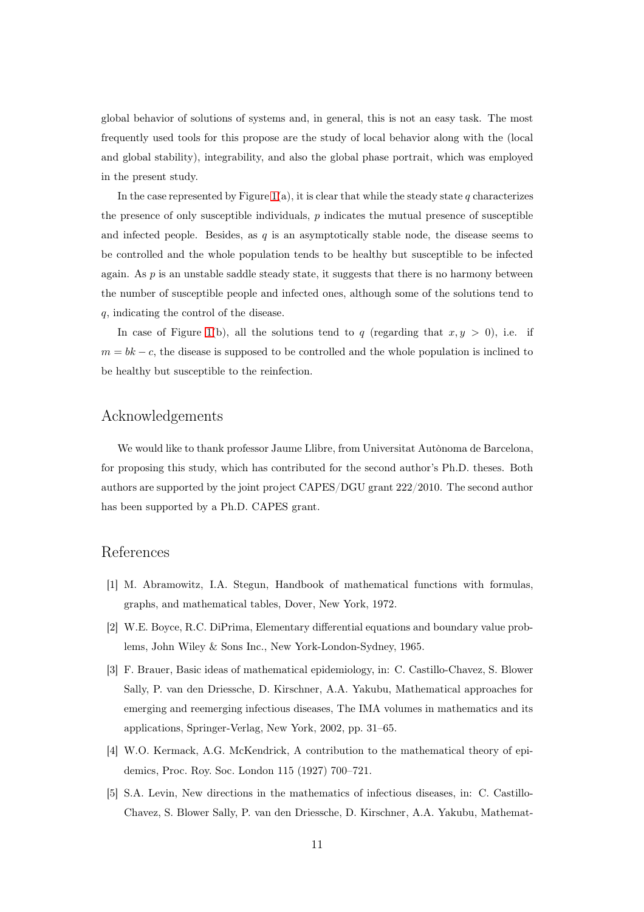global behavior of solutions of systems and, in general, this is not an easy task. The most frequently used tools for this propose are the study of local behavior along with the (local and global stability), integrability, and also the global phase portrait, which was employed in the present study.

In the case represented by Figure [1\(](#page-2-0)a), it is clear that while the steady state q characterizes the presence of only susceptible individuals,  $p$  indicates the mutual presence of susceptible and infected people. Besides, as  $q$  is an asymptotically stable node, the disease seems to be controlled and the whole population tends to be healthy but susceptible to be infected again. As  $p$  is an unstable saddle steady state, it suggests that there is no harmony between the number of susceptible people and infected ones, although some of the solutions tend to q, indicating the control of the disease.

In case of Figure [1\(](#page-2-0)b), all the solutions tend to q (regarding that  $x, y > 0$ ), i.e. if  $m = bk - c$ , the disease is supposed to be controlled and the whole population is inclined to be healthy but susceptible to the reinfection.

# Acknowledgements

We would like to thank professor Jaume Llibre, from Universitat Autònoma de Barcelona, for proposing this study, which has contributed for the second author's Ph.D. theses. Both authors are supported by the joint project CAPES/DGU grant 222/2010. The second author has been supported by a Ph.D. CAPES grant.

### References

- <span id="page-10-1"></span>[1] M. Abramowitz, I.A. Stegun, Handbook of mathematical functions with formulas, graphs, and mathematical tables, Dover, New York, 1972.
- <span id="page-10-0"></span>[2] W.E. Boyce, R.C. DiPrima, Elementary differential equations and boundary value problems, John Wiley & Sons Inc., New York-London-Sydney, 1965.
- [3] F. Brauer, Basic ideas of mathematical epidemiology, in: C. Castillo-Chavez, S. Blower Sally, P. van den Driessche, D. Kirschner, A.A. Yakubu, Mathematical approaches for emerging and reemerging infectious diseases, The IMA volumes in mathematics and its applications, Springer-Verlag, New York, 2002, pp. 31–65.
- <span id="page-10-3"></span><span id="page-10-2"></span>[4] W.O. Kermack, A.G. McKendrick, A contribution to the mathematical theory of epidemics, Proc. Roy. Soc. London 115 (1927) 700–721.
- [5] S.A. Levin, New directions in the mathematics of infectious diseases, in: C. Castillo-Chavez, S. Blower Sally, P. van den Driessche, D. Kirschner, A.A. Yakubu, Mathemat-